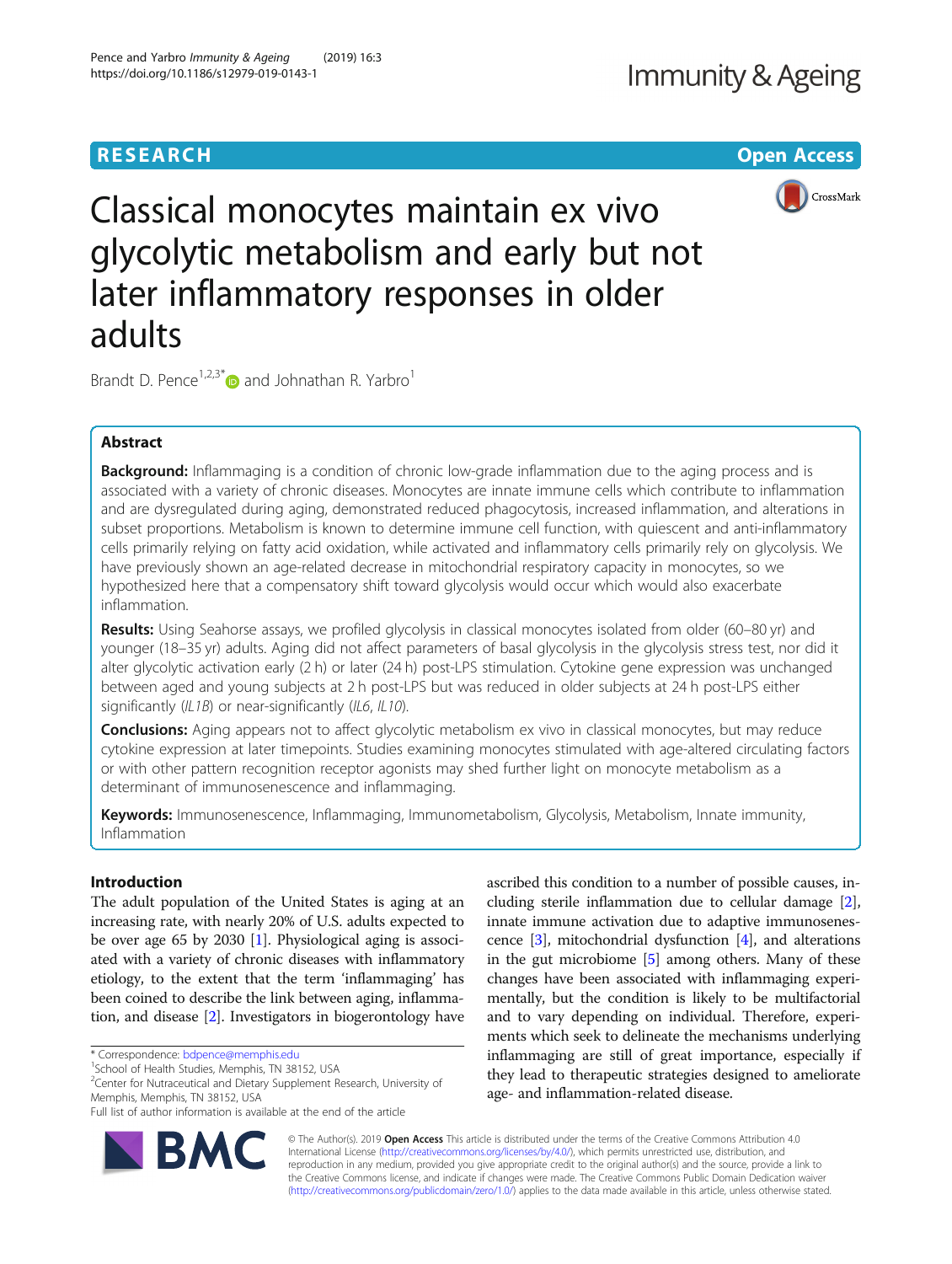# **RESEARCH CHE Open Access**



Classical monocytes maintain ex vivo glycolytic metabolism and early but not later inflammatory responses in older adults

Brandt D. Pence<sup>1,2,3[\\*](http://orcid.org/0000-0002-4059-9092)</sup> and Johnathan R. Yarbro<sup>1</sup>

## Abstract

Background: Inflammaging is a condition of chronic low-grade inflammation due to the aging process and is associated with a variety of chronic diseases. Monocytes are innate immune cells which contribute to inflammation and are dysregulated during aging, demonstrated reduced phagocytosis, increased inflammation, and alterations in subset proportions. Metabolism is known to determine immune cell function, with quiescent and anti-inflammatory cells primarily relying on fatty acid oxidation, while activated and inflammatory cells primarily rely on glycolysis. We have previously shown an age-related decrease in mitochondrial respiratory capacity in monocytes, so we hypothesized here that a compensatory shift toward glycolysis would occur which would also exacerbate inflammation.

Results: Using Seahorse assays, we profiled glycolysis in classical monocytes isolated from older (60–80 yr) and younger (18–35 yr) adults. Aging did not affect parameters of basal glycolysis in the glycolysis stress test, nor did it alter glycolytic activation early (2 h) or later (24 h) post-LPS stimulation. Cytokine gene expression was unchanged between aged and young subjects at 2 h post-LPS but was reduced in older subjects at 24 h post-LPS either significantly (IL1B) or near-significantly (IL6, IL10).

**Conclusions:** Aging appears not to affect glycolytic metabolism ex vivo in classical monocytes, but may reduce cytokine expression at later timepoints. Studies examining monocytes stimulated with age-altered circulating factors or with other pattern recognition receptor agonists may shed further light on monocyte metabolism as a determinant of immunosenescence and inflammaging.

Keywords: Immunosenescence, Inflammaging, Immunometabolism, Glycolysis, Metabolism, Innate immunity, Inflammation

## Introduction

The adult population of the United States is aging at an increasing rate, with nearly 20% of U.S. adults expected to be over age 65 by 2030 [[1](#page-6-0)]. Physiological aging is associated with a variety of chronic diseases with inflammatory etiology, to the extent that the term 'inflammaging' has been coined to describe the link between aging, inflammation, and disease [[2](#page-6-0)]. Investigators in biogerontology have

RM(

Full list of author information is available at the end of the article



© The Author(s). 2019 Open Access This article is distributed under the terms of the Creative Commons Attribution 4.0 International License [\(http://creativecommons.org/licenses/by/4.0/](http://creativecommons.org/licenses/by/4.0/)), which permits unrestricted use, distribution, and reproduction in any medium, provided you give appropriate credit to the original author(s) and the source, provide a link to the Creative Commons license, and indicate if changes were made. The Creative Commons Public Domain Dedication waiver [\(http://creativecommons.org/publicdomain/zero/1.0/](http://creativecommons.org/publicdomain/zero/1.0/)) applies to the data made available in this article, unless otherwise stated.

<sup>\*</sup> Correspondence: [bdpence@memphis.edu](mailto:bdpence@memphis.edu) <sup>1</sup>

<sup>&</sup>lt;sup>1</sup>School of Health Studies, Memphis, TN 38152, USA

<sup>&</sup>lt;sup>2</sup> Center for Nutraceutical and Dietary Supplement Research, University of Memphis, Memphis, TN 38152, USA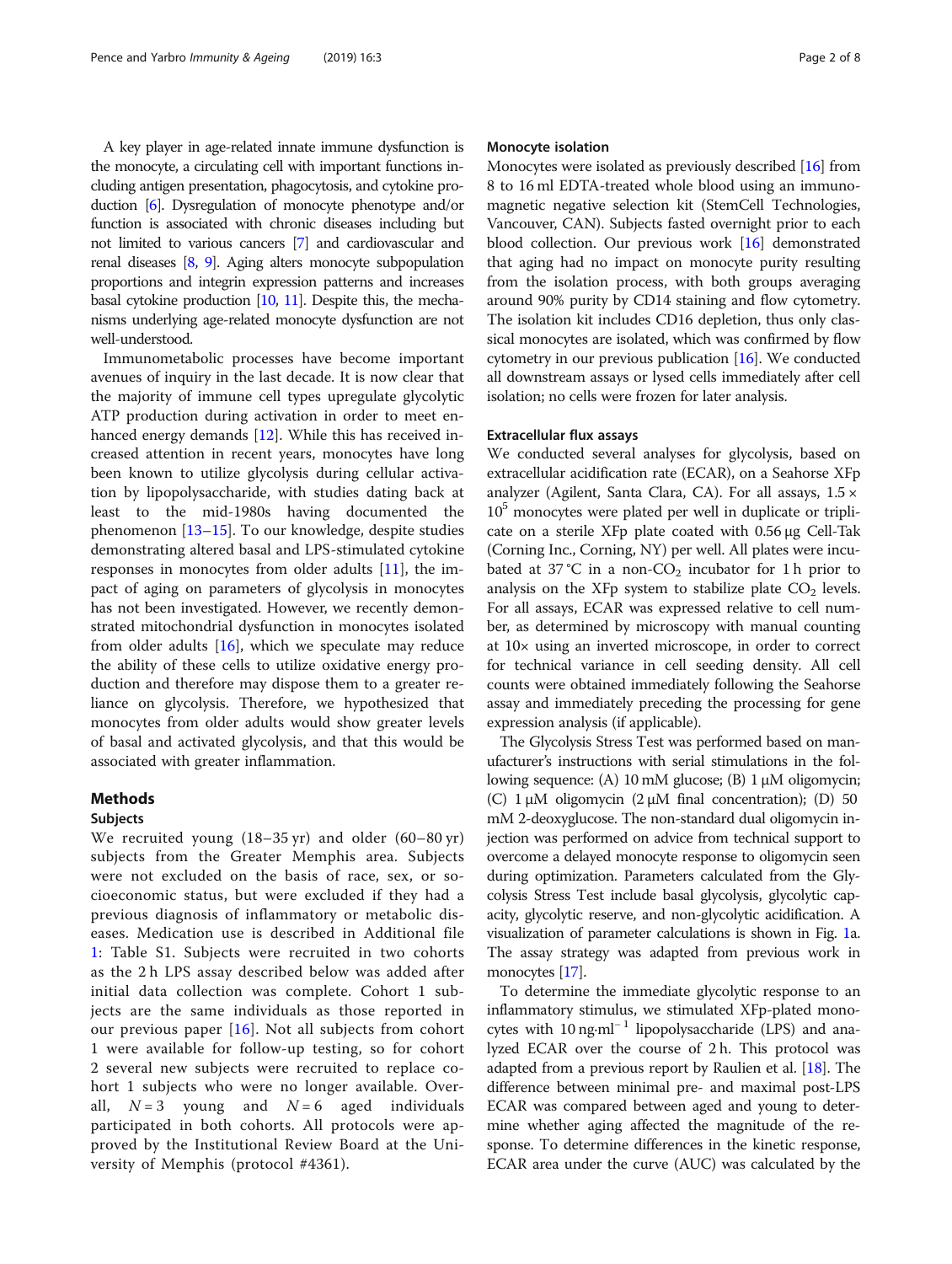A key player in age-related innate immune dysfunction is the monocyte, a circulating cell with important functions including antigen presentation, phagocytosis, and cytokine production [\[6](#page-6-0)]. Dysregulation of monocyte phenotype and/or function is associated with chronic diseases including but not limited to various cancers [\[7\]](#page-7-0) and cardiovascular and renal diseases [\[8,](#page-7-0) [9\]](#page-7-0). Aging alters monocyte subpopulation proportions and integrin expression patterns and increases basal cytokine production [\[10](#page-7-0), [11\]](#page-7-0). Despite this, the mechanisms underlying age-related monocyte dysfunction are not well-understood.

Immunometabolic processes have become important avenues of inquiry in the last decade. It is now clear that the majority of immune cell types upregulate glycolytic ATP production during activation in order to meet enhanced energy demands [[12\]](#page-7-0). While this has received increased attention in recent years, monocytes have long been known to utilize glycolysis during cellular activation by lipopolysaccharide, with studies dating back at least to the mid-1980s having documented the phenomenon [[13](#page-7-0)–[15](#page-7-0)]. To our knowledge, despite studies demonstrating altered basal and LPS-stimulated cytokine responses in monocytes from older adults [\[11](#page-7-0)], the impact of aging on parameters of glycolysis in monocytes has not been investigated. However, we recently demonstrated mitochondrial dysfunction in monocytes isolated from older adults  $[16]$  $[16]$ , which we speculate may reduce the ability of these cells to utilize oxidative energy production and therefore may dispose them to a greater reliance on glycolysis. Therefore, we hypothesized that monocytes from older adults would show greater levels of basal and activated glycolysis, and that this would be associated with greater inflammation.

#### Methods

## Subjects

We recruited young (18–35 yr) and older (60–80 yr) subjects from the Greater Memphis area. Subjects were not excluded on the basis of race, sex, or socioeconomic status, but were excluded if they had a previous diagnosis of inflammatory or metabolic diseases. Medication use is described in Additional file [1:](#page-6-0) Table S1. Subjects were recruited in two cohorts as the 2 h LPS assay described below was added after initial data collection was complete. Cohort 1 subjects are the same individuals as those reported in our previous paper [\[16\]](#page-7-0). Not all subjects from cohort 1 were available for follow-up testing, so for cohort 2 several new subjects were recruited to replace cohort 1 subjects who were no longer available. Overall,  $N = 3$  young and  $N = 6$  aged individuals participated in both cohorts. All protocols were approved by the Institutional Review Board at the University of Memphis (protocol #4361).

#### Monocyte isolation

Monocytes were isolated as previously described [[16](#page-7-0)] from 8 to 16 ml EDTA-treated whole blood using an immunomagnetic negative selection kit (StemCell Technologies, Vancouver, CAN). Subjects fasted overnight prior to each blood collection. Our previous work [[16\]](#page-7-0) demonstrated that aging had no impact on monocyte purity resulting from the isolation process, with both groups averaging around 90% purity by CD14 staining and flow cytometry. The isolation kit includes CD16 depletion, thus only classical monocytes are isolated, which was confirmed by flow cytometry in our previous publication  $[16]$ . We conducted all downstream assays or lysed cells immediately after cell isolation; no cells were frozen for later analysis.

## Extracellular flux assays

We conducted several analyses for glycolysis, based on extracellular acidification rate (ECAR), on a Seahorse XFp analyzer (Agilent, Santa Clara, CA). For all assays, 1.5 ×  $10<sup>5</sup>$  monocytes were plated per well in duplicate or triplicate on a sterile XFp plate coated with 0.56 μg Cell-Tak (Corning Inc., Corning, NY) per well. All plates were incubated at 37 °C in a non-CO<sub>2</sub> incubator for 1 h prior to analysis on the XFp system to stabilize plate  $CO<sub>2</sub>$  levels. For all assays, ECAR was expressed relative to cell number, as determined by microscopy with manual counting at 10× using an inverted microscope, in order to correct for technical variance in cell seeding density. All cell counts were obtained immediately following the Seahorse assay and immediately preceding the processing for gene expression analysis (if applicable).

The Glycolysis Stress Test was performed based on manufacturer's instructions with serial stimulations in the following sequence: (A) 10 mM glucose; (B) 1 μM oligomycin; (C)  $1 \mu$ M oligomycin  $(2 \mu)$  final concentration); (D) 50 mM 2-deoxyglucose. The non-standard dual oligomycin injection was performed on advice from technical support to overcome a delayed monocyte response to oligomycin seen during optimization. Parameters calculated from the Glycolysis Stress Test include basal glycolysis, glycolytic capacity, glycolytic reserve, and non-glycolytic acidification. A visualization of parameter calculations is shown in Fig. [1](#page-2-0)a. The assay strategy was adapted from previous work in monocytes [[17](#page-7-0)].

To determine the immediate glycolytic response to an inflammatory stimulus, we stimulated XFp-plated monocytes with 10 ng·ml<sup>-1</sup> lipopolysaccharide (LPS) and analyzed ECAR over the course of 2 h. This protocol was adapted from a previous report by Raulien et al. [[18](#page-7-0)]. The difference between minimal pre- and maximal post-LPS ECAR was compared between aged and young to determine whether aging affected the magnitude of the response. To determine differences in the kinetic response, ECAR area under the curve (AUC) was calculated by the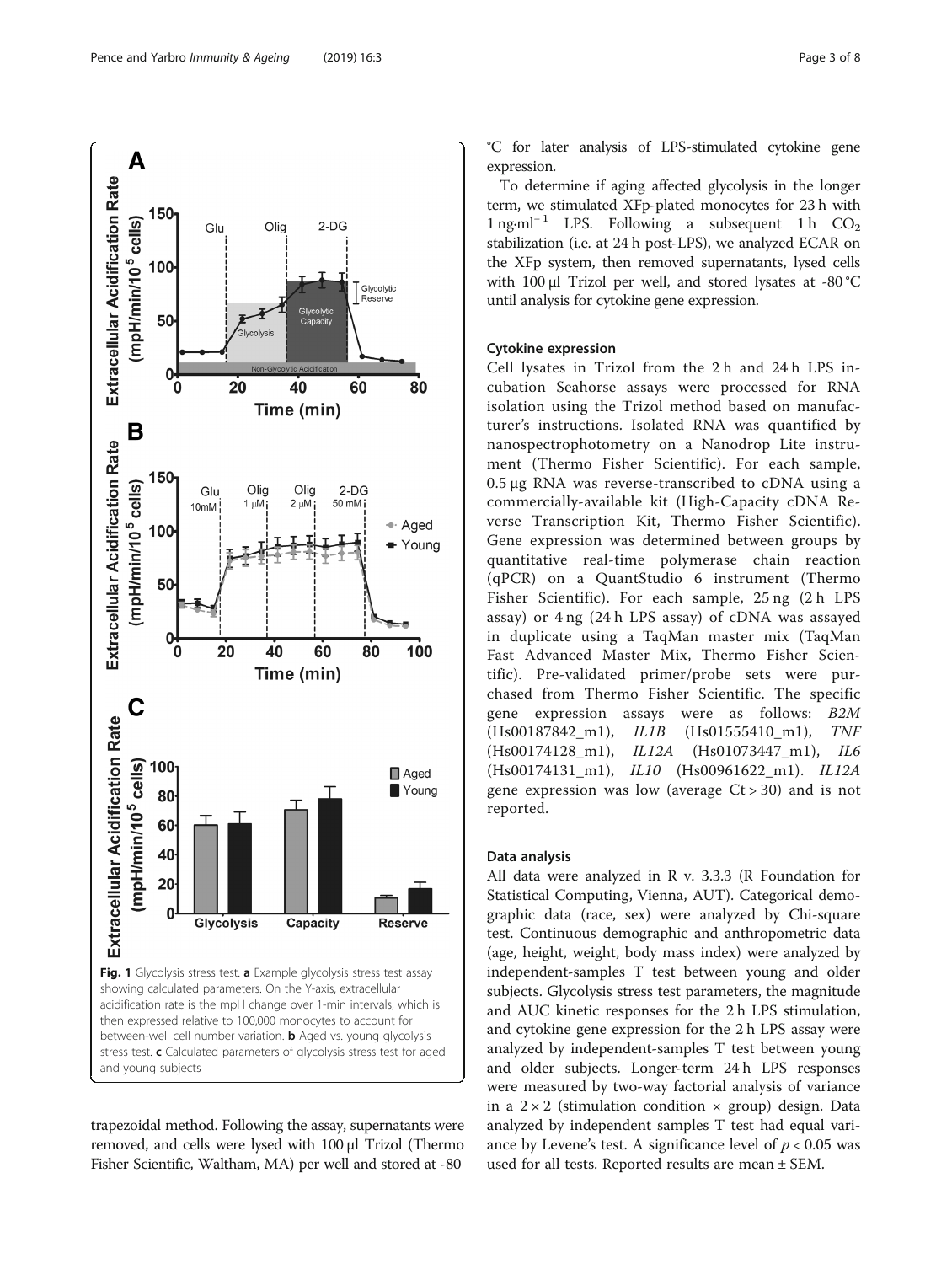

<span id="page-2-0"></span>

trapezoidal method. Following the assay, supernatants were removed, and cells were lysed with 100 μl Trizol (Thermo Fisher Scientific, Waltham, MA) per well and stored at -80

°C for later analysis of LPS-stimulated cytokine gene expression.

To determine if aging affected glycolysis in the longer term, we stimulated XFp-plated monocytes for 23 h with  $1$  ng⋅ml<sup>-1</sup> LPS. Following a subsequent 1 h CO<sub>2</sub> stabilization (i.e. at 24 h post-LPS), we analyzed ECAR on the XFp system, then removed supernatants, lysed cells with 100 μl Trizol per well, and stored lysates at -80 °C until analysis for cytokine gene expression.

## Cytokine expression

Cell lysates in Trizol from the 2 h and 24 h LPS incubation Seahorse assays were processed for RNA isolation using the Trizol method based on manufacturer's instructions. Isolated RNA was quantified by nanospectrophotometry on a Nanodrop Lite instrument (Thermo Fisher Scientific). For each sample, 0.5 μg RNA was reverse-transcribed to cDNA using a commercially-available kit (High-Capacity cDNA Reverse Transcription Kit, Thermo Fisher Scientific). Gene expression was determined between groups by quantitative real-time polymerase chain reaction (qPCR) on a QuantStudio 6 instrument (Thermo Fisher Scientific). For each sample, 25 ng (2 h LPS assay) or 4 ng (24 h LPS assay) of cDNA was assayed in duplicate using a TaqMan master mix (TaqMan Fast Advanced Master Mix, Thermo Fisher Scientific). Pre-validated primer/probe sets were purchased from Thermo Fisher Scientific. The specific gene expression assays were as follows: B2M (Hs00187842\_m1), IL1B (Hs01555410\_m1), TNF (Hs00174128\_m1), IL12A (Hs01073447\_m1), IL6 (Hs00174131 m1), IL10 (Hs00961622 m1). IL12A gene expression was low (average  $Ct > 30$ ) and is not reported.

#### Data analysis

All data were analyzed in R v. 3.3.3 (R Foundation for Statistical Computing, Vienna, AUT). Categorical demographic data (race, sex) were analyzed by Chi-square test. Continuous demographic and anthropometric data (age, height, weight, body mass index) were analyzed by independent-samples T test between young and older subjects. Glycolysis stress test parameters, the magnitude and AUC kinetic responses for the 2 h LPS stimulation, and cytokine gene expression for the 2 h LPS assay were analyzed by independent-samples T test between young and older subjects. Longer-term 24 h LPS responses were measured by two-way factorial analysis of variance in a  $2 \times 2$  (stimulation condition  $\times$  group) design. Data analyzed by independent samples T test had equal variance by Levene's test. A significance level of  $p < 0.05$  was used for all tests. Reported results are mean ± SEM.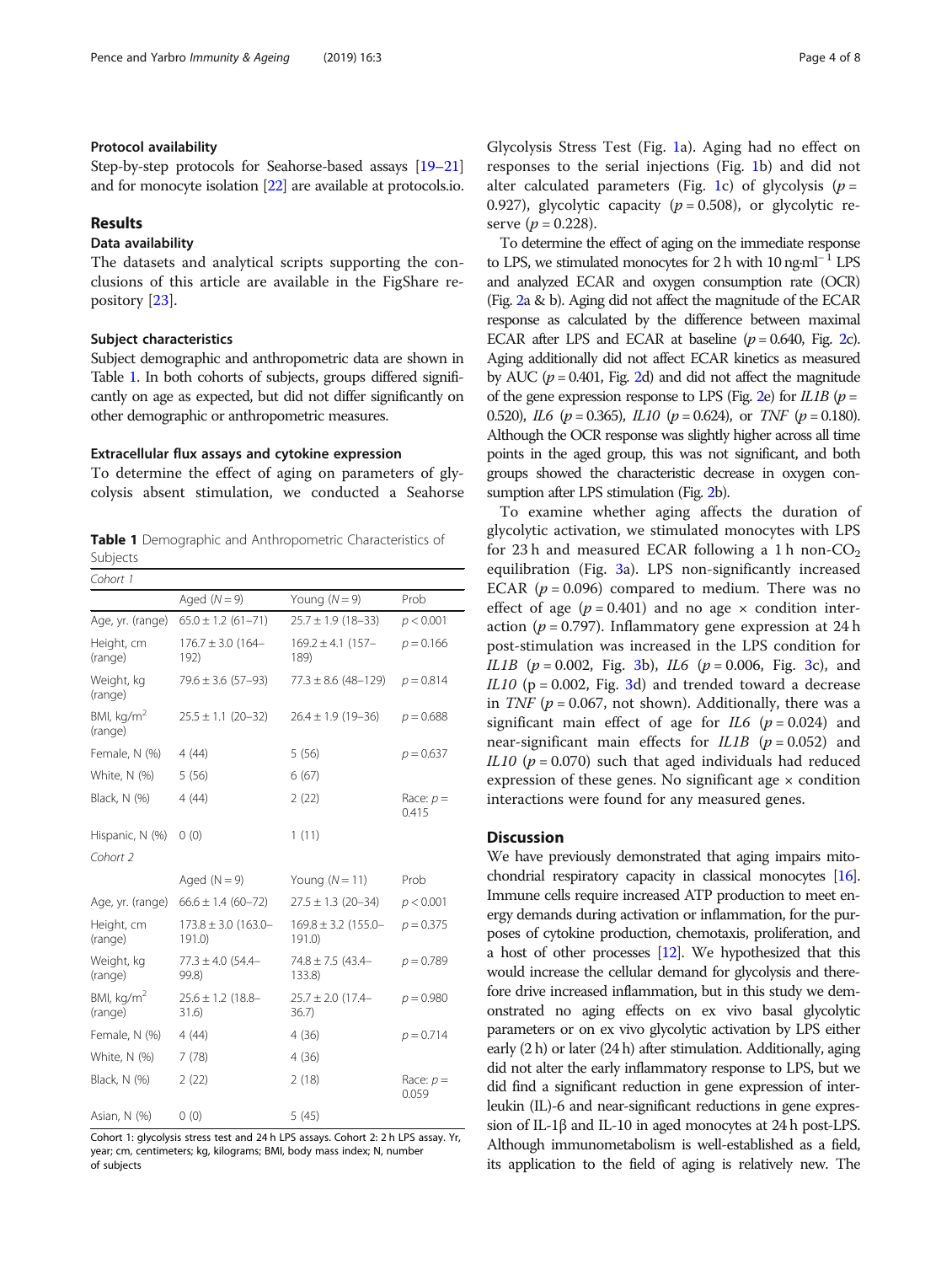## Protocol availability

Step-by-step protocols for Seahorse-based assays [[19](#page-7-0)–[21](#page-7-0)] and for monocyte isolation [\[22\]](#page-7-0) are available at protocols.io.

## Results

## Data availability

The datasets and analytical scripts supporting the conclusions of this article are available in the FigShare repository [[23\]](#page-7-0).

## Subject characteristics

Subject demographic and anthropometric data are shown in Table 1. In both cohorts of subjects, groups differed significantly on age as expected, but did not differ significantly on other demographic or anthropometric measures.

### Extracellular flux assays and cytokine expression

To determine the effect of aging on parameters of glycolysis absent stimulation, we conducted a Seahorse

Table 1 Demographic and Anthropometric Characteristics of Subjects

| Cohort 1                          |                                  |                                  |                      |
|-----------------------------------|----------------------------------|----------------------------------|----------------------|
|                                   | Aged $(N = 9)$                   | Young $(N = 9)$                  | Prob                 |
| Age, yr. (range)                  | $65.0 \pm 1.2$ (61-71)           | $25.7 \pm 1.9$ (18-33)           | p < 0.001            |
| Height, cm<br>(range)             | $176.7 \pm 3.0$ (164-<br>192)    | $169.2 \pm 4.1$ (157-<br>189)    | $p = 0.166$          |
| Weight, kg<br>(range)             | $79.6 \pm 3.6$ (57-93)           | $77.3 \pm 8.6$ (48-129)          | $p = 0.814$          |
| BMI, $kg/m2$<br>(range)           | $25.5 \pm 1.1$ (20-32)           | $26.4 \pm 1.9$ (19-36)           | $p = 0.688$          |
| Female, N (%)                     | 4(44)                            | 5(56)                            | $p = 0.637$          |
| White, N (%)                      | 5(56)                            | 6(67)                            |                      |
| Black, N (%)                      | 4(44)                            | 2(22)                            | Race: $p =$<br>0.415 |
| Hispanic, N (%)                   | 0(0)                             | 1(11)                            |                      |
| Cohort 2                          |                                  |                                  |                      |
|                                   | Aged $(N = 9)$                   | Young $(N = 11)$                 | Prob                 |
| Age, yr. (range)                  | $66.6 \pm 1.4$ (60-72)           | $27.5 \pm 1.3$ (20-34)           | p < 0.001            |
| Height, cm<br>(range)             | $173.8 \pm 3.0$ (163.0-<br>191.0 | $169.8 \pm 3.2$ (155.0-<br>191.0 | $p = 0.375$          |
| Weight, kg<br>(range)             | $77.3 \pm 4.0$ (54.4-<br>99.8    | $74.8 \pm 7.5$ (43.4-<br>133.8)  | $p = 0.789$          |
| BMI, kg/m <sup>2</sup><br>(range) | $25.6 \pm 1.2$ (18.8-<br>31.6)   | $25.7 \pm 2.0$ (17.4-<br>36.7)   | $p = 0.980$          |
| Female, N (%)                     | 4(44)                            | 4(36)                            | $p = 0.714$          |
| White, N (%)                      | 7(78)                            | 4(36)                            |                      |
| Black, N (%)                      | 2(22)                            | 2(18)                            | Race: $p =$<br>0.059 |
| Asian, N (%)                      | 0(0)                             | 5(45)                            |                      |

Cohort 1: glycolysis stress test and 24 h LPS assays. Cohort 2: 2 h LPS assay. Yr, year; cm, centimeters; kg, kilograms; BMI, body mass index; N, number of subjects

Glycolysis Stress Test (Fig. [1a](#page-2-0)). Aging had no effect on responses to the serial injections (Fig. [1](#page-2-0)b) and did not alter calculated parameters (Fig. [1c](#page-2-0)) of glycolysis ( $p =$ 0.927), glycolytic capacity ( $p = 0.508$ ), or glycolytic reserve  $(p = 0.228)$ .

To determine the effect of aging on the immediate response to LPS, we stimulated monocytes for 2 h with  $10 \text{ ng-m}^{-1}$  LPS and analyzed ECAR and oxygen consumption rate (OCR) (Fig. [2a](#page-4-0) & b). Aging did not affect the magnitude of the ECAR response as calculated by the difference between maximal ECAR after LPS and ECAR at baseline  $(p = 0.640,$  Fig. [2c](#page-4-0)). Aging additionally did not affect ECAR kinetics as measured by AUC ( $p = 0.401$ , Fig. [2](#page-4-0)d) and did not affect the magnitude of the gene expression response to LPS (Fig. [2e](#page-4-0)) for  $IL1B$  ( $p =$ 0.520), IL6 ( $p = 0.365$ ), IL10 ( $p = 0.624$ ), or TNF ( $p = 0.180$ ). Although the OCR response was slightly higher across all time points in the aged group, this was not significant, and both groups showed the characteristic decrease in oxygen consumption after LPS stimulation (Fig. [2](#page-4-0)b).

To examine whether aging affects the duration of glycolytic activation, we stimulated monocytes with LPS for 23 h and measured ECAR following a 1 h non-CO<sub>2</sub> equilibration (Fig. [3](#page-5-0)a). LPS non-significantly increased ECAR ( $p = 0.096$ ) compared to medium. There was no effect of age ( $p = 0.401$ ) and no age  $\times$  condition interaction ( $p = 0.797$ ). Inflammatory gene expression at 24 h post-stimulation was increased in the LPS condition for *IL1B* ( $p = 0.002$ , Fig. [3b](#page-5-0)), *IL6* ( $p = 0.006$ , Fig. [3](#page-5-0)c), and IL10 ( $p = 0.002$ , Fig. [3](#page-5-0)d) and trended toward a decrease in TNF ( $p = 0.067$ , not shown). Additionally, there was a significant main effect of age for  $IL6$  ( $p = 0.024$ ) and near-significant main effects for  $IL1B$  ( $p = 0.052$ ) and IL10 ( $p = 0.070$ ) such that aged individuals had reduced expression of these genes. No significant age  $\times$  condition interactions were found for any measured genes.

#### **Discussion**

We have previously demonstrated that aging impairs mitochondrial respiratory capacity in classical monocytes [\[16\]](#page-7-0). Immune cells require increased ATP production to meet energy demands during activation or inflammation, for the purposes of cytokine production, chemotaxis, proliferation, and a host of other processes [\[12](#page-7-0)]. We hypothesized that this would increase the cellular demand for glycolysis and therefore drive increased inflammation, but in this study we demonstrated no aging effects on ex vivo basal glycolytic parameters or on ex vivo glycolytic activation by LPS either early (2 h) or later (24 h) after stimulation. Additionally, aging did not alter the early inflammatory response to LPS, but we did find a significant reduction in gene expression of interleukin (IL)-6 and near-significant reductions in gene expression of IL-1β and IL-10 in aged monocytes at 24 h post-LPS. Although immunometabolism is well-established as a field, its application to the field of aging is relatively new. The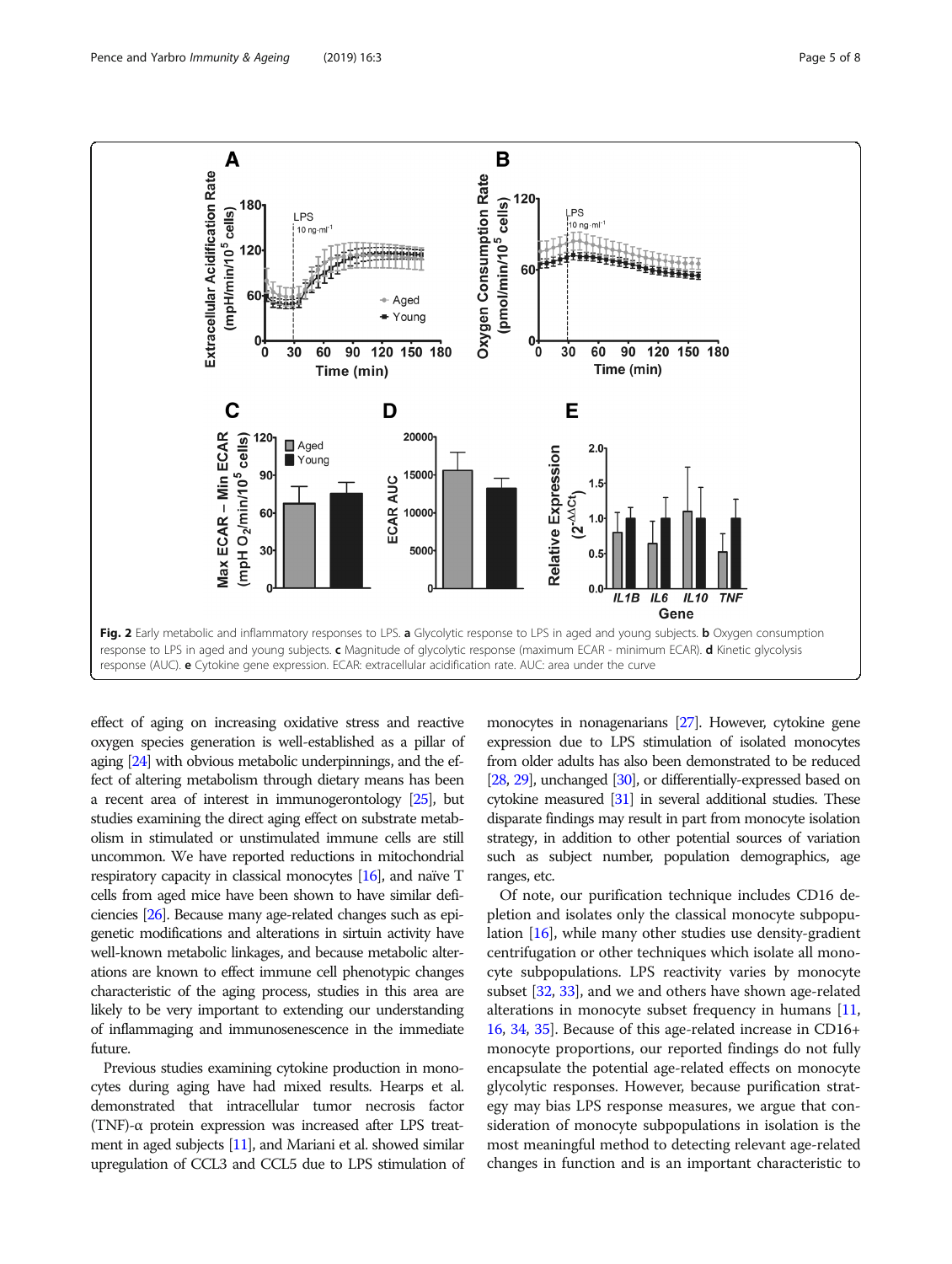<span id="page-4-0"></span>

effect of aging on increasing oxidative stress and reactive oxygen species generation is well-established as a pillar of aging [[24\]](#page-7-0) with obvious metabolic underpinnings, and the effect of altering metabolism through dietary means has been a recent area of interest in immunogerontology [[25\]](#page-7-0), but studies examining the direct aging effect on substrate metabolism in stimulated or unstimulated immune cells are still uncommon. We have reported reductions in mitochondrial respiratory capacity in classical monocytes [[16\]](#page-7-0), and naïve T cells from aged mice have been shown to have similar deficiencies [\[26](#page-7-0)]. Because many age-related changes such as epigenetic modifications and alterations in sirtuin activity have well-known metabolic linkages, and because metabolic alterations are known to effect immune cell phenotypic changes characteristic of the aging process, studies in this area are likely to be very important to extending our understanding of inflammaging and immunosenescence in the immediate future.

Previous studies examining cytokine production in monocytes during aging have had mixed results. Hearps et al. demonstrated that intracellular tumor necrosis factor (TNF)-α protein expression was increased after LPS treatment in aged subjects [\[11\]](#page-7-0), and Mariani et al. showed similar upregulation of CCL3 and CCL5 due to LPS stimulation of

monocytes in nonagenarians [\[27](#page-7-0)]. However, cytokine gene expression due to LPS stimulation of isolated monocytes from older adults has also been demonstrated to be reduced [[28,](#page-7-0) [29\]](#page-7-0), unchanged [\[30](#page-7-0)], or differentially-expressed based on cytokine measured [[31\]](#page-7-0) in several additional studies. These disparate findings may result in part from monocyte isolation strategy, in addition to other potential sources of variation such as subject number, population demographics, age ranges, etc.

Of note, our purification technique includes CD16 depletion and isolates only the classical monocyte subpopulation [[16](#page-7-0)], while many other studies use density-gradient centrifugation or other techniques which isolate all monocyte subpopulations. LPS reactivity varies by monocyte subset [[32](#page-7-0), [33\]](#page-7-0), and we and others have shown age-related alterations in monocyte subset frequency in humans [[11](#page-7-0), [16](#page-7-0), [34](#page-7-0), [35](#page-7-0)]. Because of this age-related increase in CD16+ monocyte proportions, our reported findings do not fully encapsulate the potential age-related effects on monocyte glycolytic responses. However, because purification strategy may bias LPS response measures, we argue that consideration of monocyte subpopulations in isolation is the most meaningful method to detecting relevant age-related changes in function and is an important characteristic to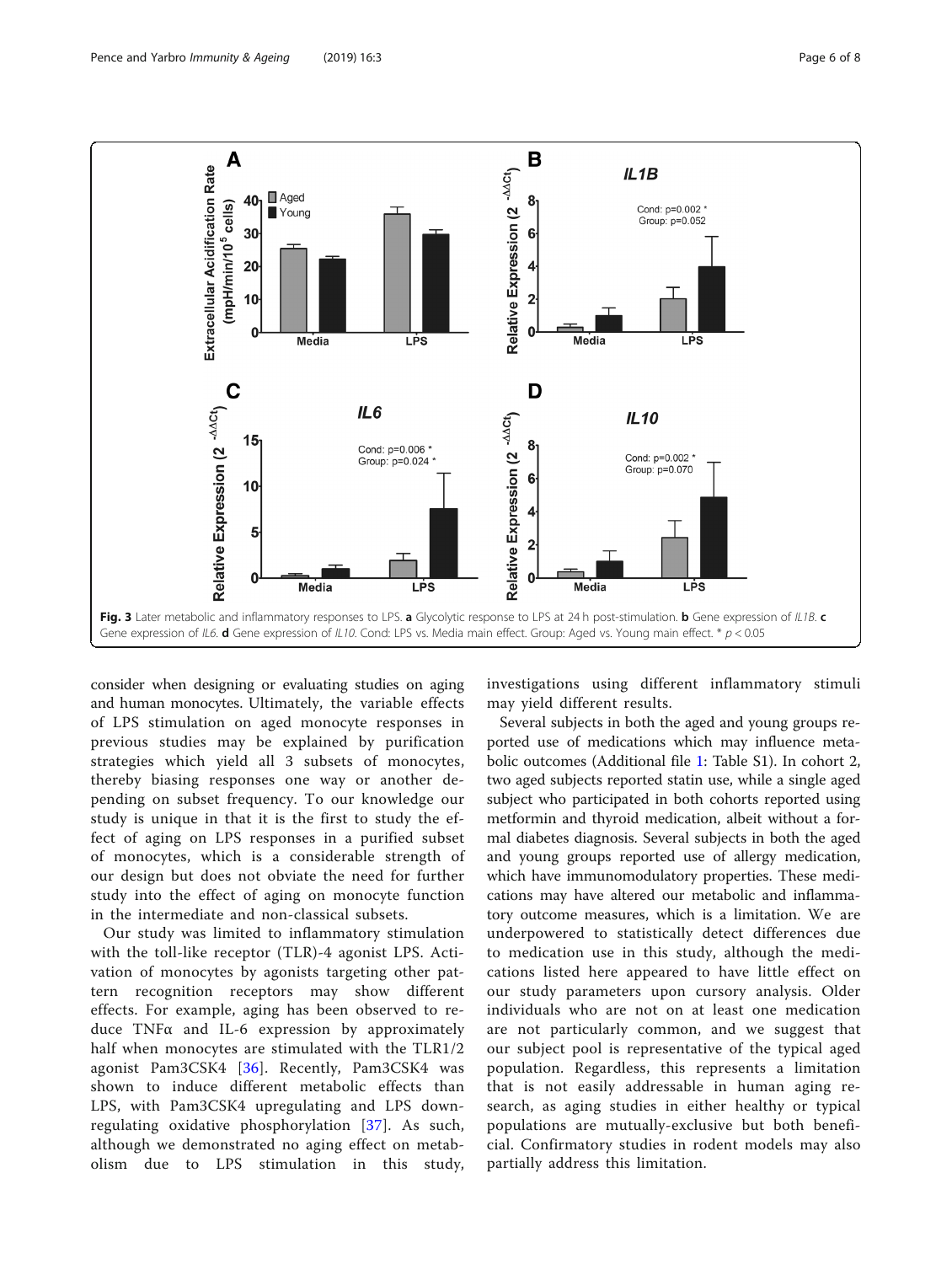<span id="page-5-0"></span>

consider when designing or evaluating studies on aging and human monocytes. Ultimately, the variable effects of LPS stimulation on aged monocyte responses in previous studies may be explained by purification strategies which yield all 3 subsets of monocytes, thereby biasing responses one way or another depending on subset frequency. To our knowledge our study is unique in that it is the first to study the effect of aging on LPS responses in a purified subset of monocytes, which is a considerable strength of our design but does not obviate the need for further study into the effect of aging on monocyte function in the intermediate and non-classical subsets.

Our study was limited to inflammatory stimulation with the toll-like receptor (TLR)-4 agonist LPS. Activation of monocytes by agonists targeting other pattern recognition receptors may show different effects. For example, aging has been observed to reduce TNFα and IL-6 expression by approximately half when monocytes are stimulated with the TLR1/2 agonist Pam3CSK4 [[36](#page-7-0)]. Recently, Pam3CSK4 was shown to induce different metabolic effects than LPS, with Pam3CSK4 upregulating and LPS downregulating oxidative phosphorylation [[37](#page-7-0)]. As such, although we demonstrated no aging effect on metabolism due to LPS stimulation in this study, investigations using different inflammatory stimuli may yield different results.

Several subjects in both the aged and young groups reported use of medications which may influence metabolic outcomes (Additional file [1](#page-6-0): Table S1). In cohort 2, two aged subjects reported statin use, while a single aged subject who participated in both cohorts reported using metformin and thyroid medication, albeit without a formal diabetes diagnosis. Several subjects in both the aged and young groups reported use of allergy medication, which have immunomodulatory properties. These medications may have altered our metabolic and inflammatory outcome measures, which is a limitation. We are underpowered to statistically detect differences due to medication use in this study, although the medications listed here appeared to have little effect on our study parameters upon cursory analysis. Older individuals who are not on at least one medication are not particularly common, and we suggest that our subject pool is representative of the typical aged population. Regardless, this represents a limitation that is not easily addressable in human aging research, as aging studies in either healthy or typical populations are mutually-exclusive but both beneficial. Confirmatory studies in rodent models may also partially address this limitation.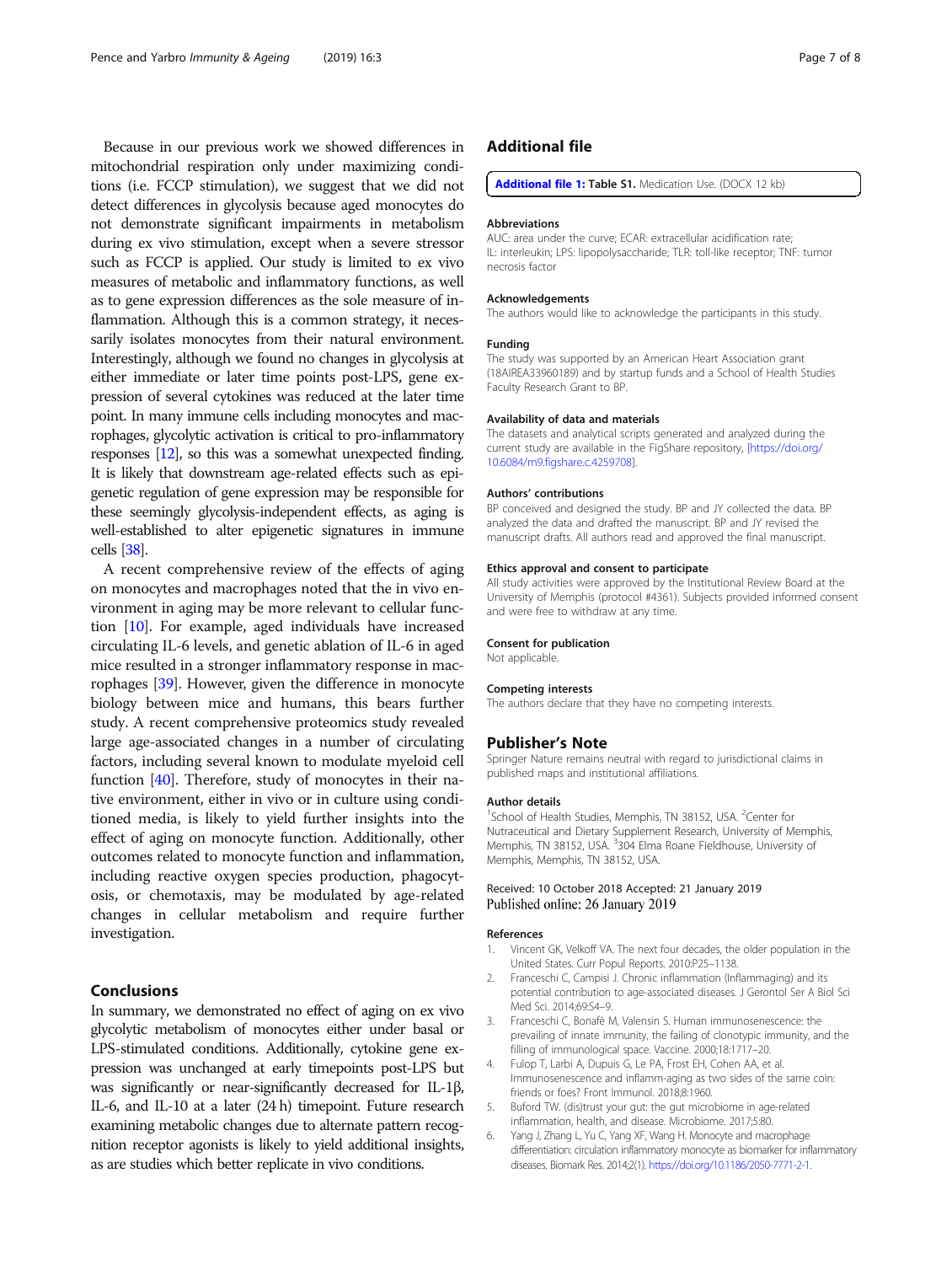<span id="page-6-0"></span>Because in our previous work we showed differences in mitochondrial respiration only under maximizing conditions (i.e. FCCP stimulation), we suggest that we did not detect differences in glycolysis because aged monocytes do not demonstrate significant impairments in metabolism during ex vivo stimulation, except when a severe stressor such as FCCP is applied. Our study is limited to ex vivo measures of metabolic and inflammatory functions, as well as to gene expression differences as the sole measure of inflammation. Although this is a common strategy, it necessarily isolates monocytes from their natural environment. Interestingly, although we found no changes in glycolysis at either immediate or later time points post-LPS, gene expression of several cytokines was reduced at the later time point. In many immune cells including monocytes and macrophages, glycolytic activation is critical to pro-inflammatory responses [\[12](#page-7-0)], so this was a somewhat unexpected finding. It is likely that downstream age-related effects such as epigenetic regulation of gene expression may be responsible for these seemingly glycolysis-independent effects, as aging is well-established to alter epigenetic signatures in immune cells [\[38\]](#page-7-0).

A recent comprehensive review of the effects of aging on monocytes and macrophages noted that the in vivo environment in aging may be more relevant to cellular function [[10](#page-7-0)]. For example, aged individuals have increased circulating IL-6 levels, and genetic ablation of IL-6 in aged mice resulted in a stronger inflammatory response in macrophages [[39\]](#page-7-0). However, given the difference in monocyte biology between mice and humans, this bears further study. A recent comprehensive proteomics study revealed large age-associated changes in a number of circulating factors, including several known to modulate myeloid cell function [[40\]](#page-7-0). Therefore, study of monocytes in their native environment, either in vivo or in culture using conditioned media, is likely to yield further insights into the effect of aging on monocyte function. Additionally, other outcomes related to monocyte function and inflammation, including reactive oxygen species production, phagocytosis, or chemotaxis, may be modulated by age-related changes in cellular metabolism and require further investigation.

## Conclusions

In summary, we demonstrated no effect of aging on ex vivo glycolytic metabolism of monocytes either under basal or LPS-stimulated conditions. Additionally, cytokine gene expression was unchanged at early timepoints post-LPS but was significantly or near-significantly decreased for IL-1β, IL-6, and IL-10 at a later (24 h) timepoint. Future research examining metabolic changes due to alternate pattern recognition receptor agonists is likely to yield additional insights, as are studies which better replicate in vivo conditions.

## Additional file

[Additional file 1:](https://doi.org/10.1186/s12979-019-0143-1) Table S1. Medication Use. (DOCX 12 kb)

## Abbreviations

AUC: area under the curve; ECAR: extracellular acidification rate; IL: interleukin; LPS: lipopolysaccharide; TLR: toll-like receptor; TNF: tumor necrosis factor

#### Acknowledgements

The authors would like to acknowledge the participants in this study.

#### Funding

The study was supported by an American Heart Association grant (18AIREA33960189) and by startup funds and a School of Health Studies Faculty Research Grant to BP.

#### Availability of data and materials

The datasets and analytical scripts generated and analyzed during the current study are available in the FigShare repository, [\[https://doi.org/](https://doi.org/10.6084/m9.figshare.c.4259708) [10.6084/m9.figshare.c.4259708](https://doi.org/10.6084/m9.figshare.c.4259708)].

#### Authors' contributions

BP conceived and designed the study. BP and JY collected the data. BP analyzed the data and drafted the manuscript. BP and JY revised the manuscript drafts. All authors read and approved the final manuscript.

#### Ethics approval and consent to participate

All study activities were approved by the Institutional Review Board at the University of Memphis (protocol #4361). Subjects provided informed consent and were free to withdraw at any time.

#### Consent for publication

Not applicable.

#### Competing interests

The authors declare that they have no competing interests.

## Publisher's Note

Springer Nature remains neutral with regard to jurisdictional claims in published maps and institutional affiliations.

#### Author details

<sup>1</sup>School of Health Studies, Memphis, TN 38152, USA. <sup>2</sup>Center for Nutraceutical and Dietary Supplement Research, University of Memphis, Memphis, TN 38152, USA. <sup>3</sup>304 Elma Roane Fieldhouse, University of Memphis, Memphis, TN 38152, USA.

### Received: 10 October 2018 Accepted: 21 January 2019 Published online: 26 January 2019

#### References

- 1. Vincent GK, Velkoff VA. The next four decades, the older population in the United States. Curr Popul Reports. 2010:P25–1138.
- 2. Franceschi C, Campisi J. Chronic inflammation (Inflammaging) and its potential contribution to age-associated diseases. J Gerontol Ser A Biol Sci Med Sci. 2014;69:S4–9.
- 3. Franceschi C, Bonafè M, Valensin S. Human immunosenescence: the prevailing of innate immunity, the failing of clonotypic immunity, and the filling of immunological space. Vaccine. 2000;18:1717–20.
- 4. Fulop T, Larbi A, Dupuis G, Le PA, Frost EH, Cohen AA, et al. Immunosenescence and inflamm-aging as two sides of the same coin: friends or foes? Front Immunol. 2018;8:1960.
- 5. Buford TW. (dis)trust your gut: the gut microbiome in age-related inflammation, health, and disease. Microbiome. 2017;5:80.
- 6. Yang J, Zhang L, Yu C, Yang XF, Wang H. Monocyte and macrophage differentiation: circulation inflammatory monocyte as biomarker for inflammatory diseases. Biomark Res. 2014;2(1). [https://doi.org/10.1186/2050-7771-2-1.](https://doi.org/10.1186/2050-7771-2-1)